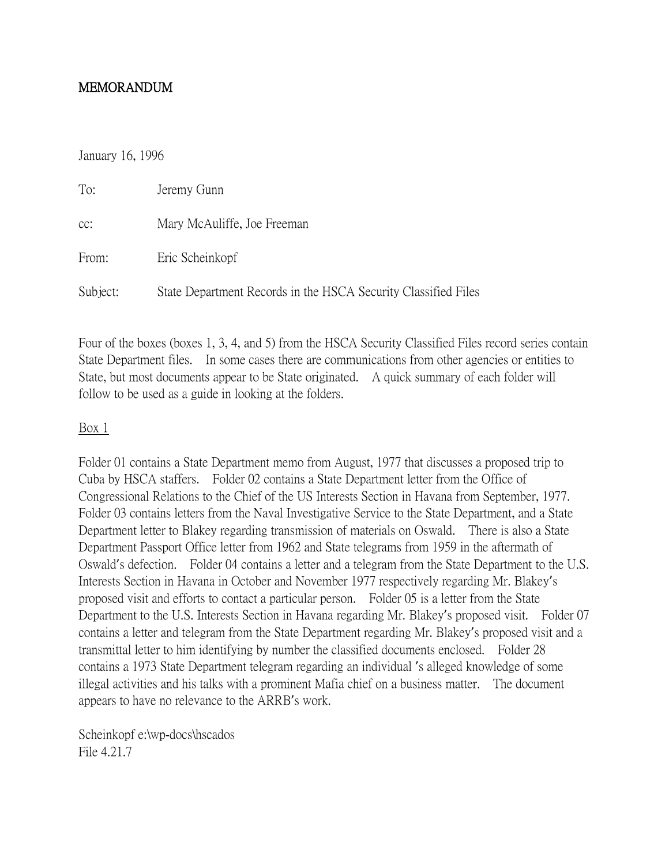## MEMORANDUM

#### January 16, 1996

| To:      | Jeremy Gunn                                                    |
|----------|----------------------------------------------------------------|
| CC:      | Mary McAuliffe, Joe Freeman                                    |
| From:    | Eric Scheinkopf                                                |
| Subject: | State Department Records in the HSCA Security Classified Files |

Four of the boxes (boxes 1, 3, 4, and 5) from the HSCA Security Classified Files record series contain State Department files. In some cases there are communications from other agencies or entities to State, but most documents appear to be State originated. A quick summary of each folder will follow to be used as a guide in looking at the folders.

#### Box 1

Folder 01 contains a State Department memo from August, 1977 that discusses a proposed trip to Cuba by HSCA staffers. Folder 02 contains a State Department letter from the Office of Congressional Relations to the Chief of the US Interests Section in Havana from September, 1977. Folder 03 contains letters from the Naval Investigative Service to the State Department, and a State Department letter to Blakey regarding transmission of materials on Oswald. There is also a State Department Passport Office letter from 1962 and State telegrams from 1959 in the aftermath of Oswald's defection. Folder 04 contains a letter and a telegram from the State Department to the U.S. Interests Section in Havana in October and November 1977 respectively regarding Mr. Blakey's proposed visit and efforts to contact a particular person. Folder 05 is a letter from the State Department to the U.S. Interests Section in Havana regarding Mr. Blakey's proposed visit. Folder 07 contains a letter and telegram from the State Department regarding Mr. Blakey's proposed visit and a transmittal letter to him identifying by number the classified documents enclosed. Folder 28 contains a 1973 State Department telegram regarding an individual 's alleged knowledge of some illegal activities and his talks with a prominent Mafia chief on a business matter. The document appears to have no relevance to the ARRB's work.

Scheinkopf e:\wp-docs\hscados File 4.21.7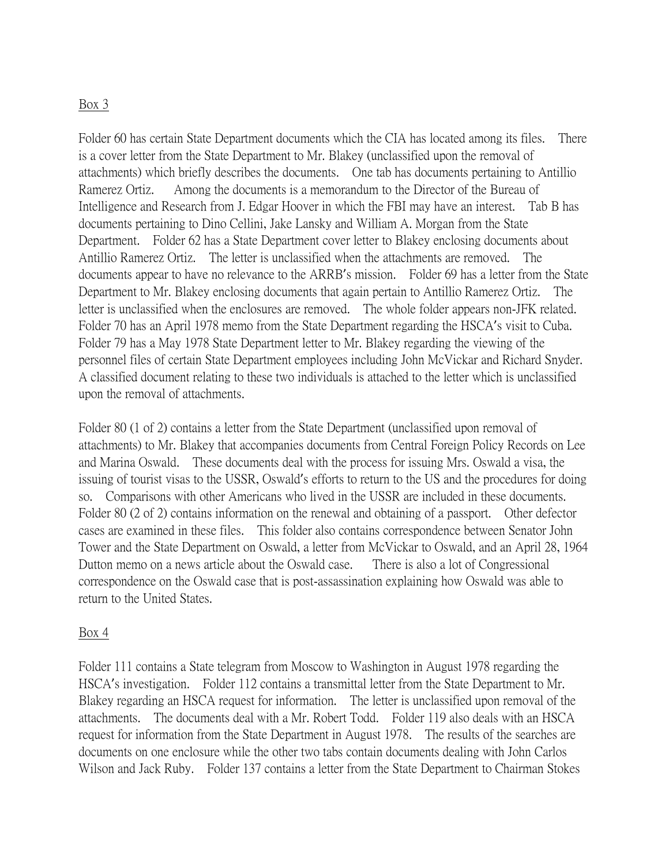## Box 3

Folder 60 has certain State Department documents which the CIA has located among its files. There is a cover letter from the State Department to Mr. Blakey (unclassified upon the removal of attachments) which briefly describes the documents. One tab has documents pertaining to Antillio Ramerez Ortiz. Among the documents is a memorandum to the Director of the Bureau of Intelligence and Research from J. Edgar Hoover in which the FBI may have an interest. Tab B has documents pertaining to Dino Cellini, Jake Lansky and William A. Morgan from the State Department. Folder 62 has a State Department cover letter to Blakey enclosing documents about Antillio Ramerez Ortiz. The letter is unclassified when the attachments are removed. The documents appear to have no relevance to the ARRB's mission. Folder 69 has a letter from the State Department to Mr. Blakey enclosing documents that again pertain to Antillio Ramerez Ortiz. The letter is unclassified when the enclosures are removed. The whole folder appears non-JFK related. Folder 70 has an April 1978 memo from the State Department regarding the HSCA's visit to Cuba. Folder 79 has a May 1978 State Department letter to Mr. Blakey regarding the viewing of the personnel files of certain State Department employees including John McVickar and Richard Snyder. A classified document relating to these two individuals is attached to the letter which is unclassified upon the removal of attachments.

Folder 80 (1 of 2) contains a letter from the State Department (unclassified upon removal of attachments) to Mr. Blakey that accompanies documents from Central Foreign Policy Records on Lee and Marina Oswald. These documents deal with the process for issuing Mrs. Oswald a visa, the issuing of tourist visas to the USSR, Oswald's efforts to return to the US and the procedures for doing so. Comparisons with other Americans who lived in the USSR are included in these documents. Folder 80 (2 of 2) contains information on the renewal and obtaining of a passport. Other defector cases are examined in these files. This folder also contains correspondence between Senator John Tower and the State Department on Oswald, a letter from McVickar to Oswald, and an April 28, 1964 Dutton memo on a news article about the Oswald case. There is also a lot of Congressional correspondence on the Oswald case that is post-assassination explaining how Oswald was able to return to the United States.

### Box 4

Folder 111 contains a State telegram from Moscow to Washington in August 1978 regarding the HSCA's investigation. Folder 112 contains a transmittal letter from the State Department to Mr. Blakey regarding an HSCA request for information. The letter is unclassified upon removal of the attachments. The documents deal with a Mr. Robert Todd. Folder 119 also deals with an HSCA request for information from the State Department in August 1978. The results of the searches are documents on one enclosure while the other two tabs contain documents dealing with John Carlos Wilson and Jack Ruby. Folder 137 contains a letter from the State Department to Chairman Stokes